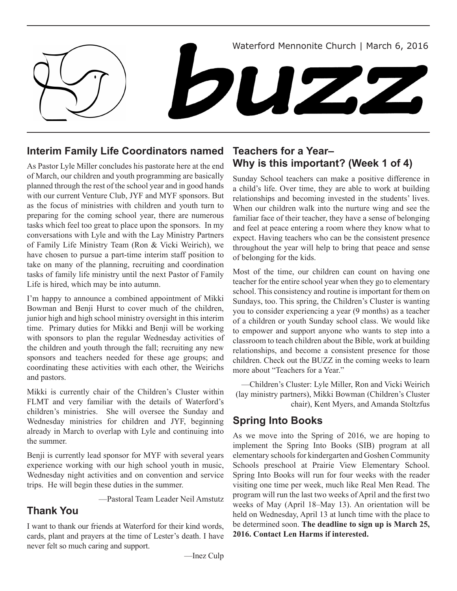Waterford Mennonite Church | March 6, 2016 DUZ,

# **Interim Family Life Coordinators named**

As Pastor Lyle Miller concludes his pastorate here at the end of March, our children and youth programming are basically planned through the rest of the school year and in good hands with our current Venture Club, JYF and MYF sponsors. But as the focus of ministries with children and youth turn to preparing for the coming school year, there are numerous tasks which feel too great to place upon the sponsors. In my conversations with Lyle and with the Lay Ministry Partners of Family Life Ministry Team (Ron & Vicki Weirich), we have chosen to pursue a part-time interim staff position to take on many of the planning, recruiting and coordination tasks of family life ministry until the next Pastor of Family Life is hired, which may be into autumn.

I'm happy to announce a combined appointment of Mikki Bowman and Benji Hurst to cover much of the children, junior high and high school ministry oversight in this interim time. Primary duties for Mikki and Benji will be working with sponsors to plan the regular Wednesday activities of the children and youth through the fall; recruiting any new sponsors and teachers needed for these age groups; and coordinating these activities with each other, the Weirichs and pastors.

Mikki is currently chair of the Children's Cluster within FLMT and very familiar with the details of Waterford's children's ministries. She will oversee the Sunday and Wednesday ministries for children and JYF, beginning already in March to overlap with Lyle and continuing into the summer.

Benji is currently lead sponsor for MYF with several years experience working with our high school youth in music, Wednesday night activities and on convention and service trips. He will begin these duties in the summer.

—Pastoral Team Leader Neil Amstutz

# **Thank You**

I want to thank our friends at Waterford for their kind words, cards, plant and prayers at the time of Lester's death. I have never felt so much caring and support.

## **Teachers for a Year– Why is this important? (Week 1 of 4)**

Sunday School teachers can make a positive difference in a child's life. Over time, they are able to work at building relationships and becoming invested in the students' lives. When our children walk into the nurture wing and see the familiar face of their teacher, they have a sense of belonging and feel at peace entering a room where they know what to expect. Having teachers who can be the consistent presence throughout the year will help to bring that peace and sense of belonging for the kids.

Most of the time, our children can count on having one teacher for the entire school year when they go to elementary school. This consistency and routine is important for them on Sundays, too. This spring, the Children's Cluster is wanting you to consider experiencing a year (9 months) as a teacher of a children or youth Sunday school class. We would like to empower and support anyone who wants to step into a classroom to teach children about the Bible, work at building relationships, and become a consistent presence for those children. Check out the BUZZ in the coming weeks to learn more about "Teachers for a Year."

—Children's Cluster: Lyle Miller, Ron and Vicki Weirich (lay ministry partners), Mikki Bowman (Children's Cluster chair), Kent Myers, and Amanda Stoltzfus

# **Spring Into Books**

As we move into the Spring of 2016, we are hoping to implement the Spring Into Books (SIB) program at all elementary schools for kindergarten and Goshen Community Schools preschool at Prairie View Elementary School. Spring Into Books will run for four weeks with the reader visiting one time per week, much like Real Men Read. The program will run the last two weeks of April and the first two weeks of May (April 18–May 13). An orientation will be held on Wednesday, April 13 at lunch time with the place to be determined soon. **The deadline to sign up is March 25, 2016. Contact Len Harms if interested.**